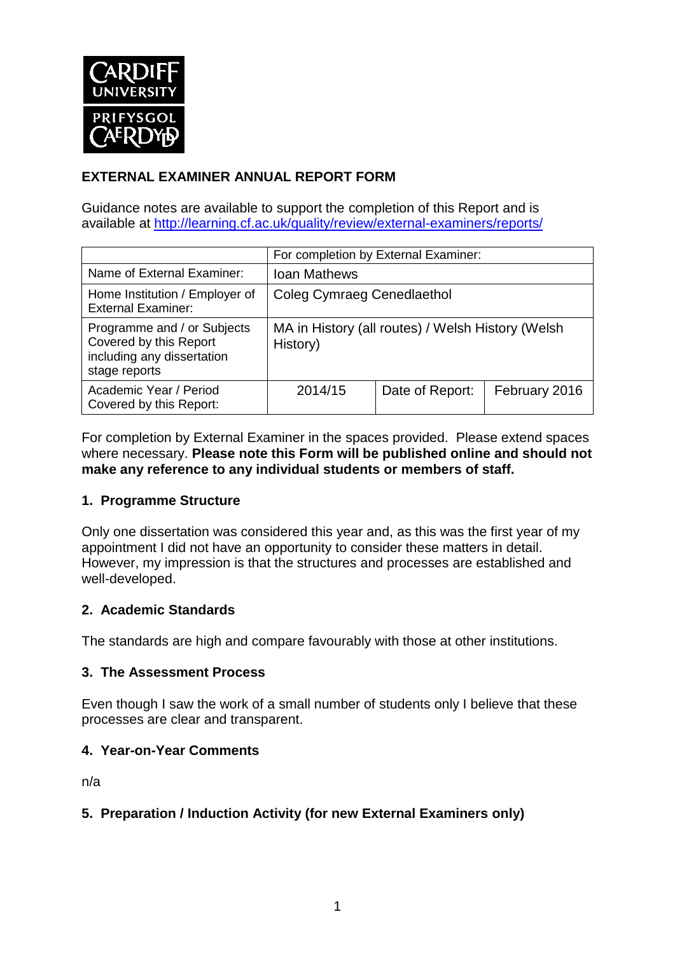

# **EXTERNAL EXAMINER ANNUAL REPORT FORM**

Guidance notes are available to support the completion of this Report and is available at <http://learning.cf.ac.uk/quality/review/external-examiners/reports/>

|                                                                                                      | For completion by External Examiner:                          |                 |               |  |  |
|------------------------------------------------------------------------------------------------------|---------------------------------------------------------------|-----------------|---------------|--|--|
| Name of External Examiner:                                                                           | <b>Ioan Mathews</b>                                           |                 |               |  |  |
| Home Institution / Employer of<br><b>External Examiner:</b>                                          | <b>Coleg Cymraeg Cenedlaethol</b>                             |                 |               |  |  |
| Programme and / or Subjects<br>Covered by this Report<br>including any dissertation<br>stage reports | MA in History (all routes) / Welsh History (Welsh<br>History) |                 |               |  |  |
| Academic Year / Period<br>Covered by this Report:                                                    | 2014/15                                                       | Date of Report: | February 2016 |  |  |

For completion by External Examiner in the spaces provided. Please extend spaces where necessary. **Please note this Form will be published online and should not make any reference to any individual students or members of staff.**

#### **1. Programme Structure**

Only one dissertation was considered this year and, as this was the first year of my appointment I did not have an opportunity to consider these matters in detail. However, my impression is that the structures and processes are established and well-developed.

#### **2. Academic Standards**

The standards are high and compare favourably with those at other institutions.

#### **3. The Assessment Process**

Even though I saw the work of a small number of students only I believe that these processes are clear and transparent.

### **4. Year-on-Year Comments**

n/a

### **5. Preparation / Induction Activity (for new External Examiners only)**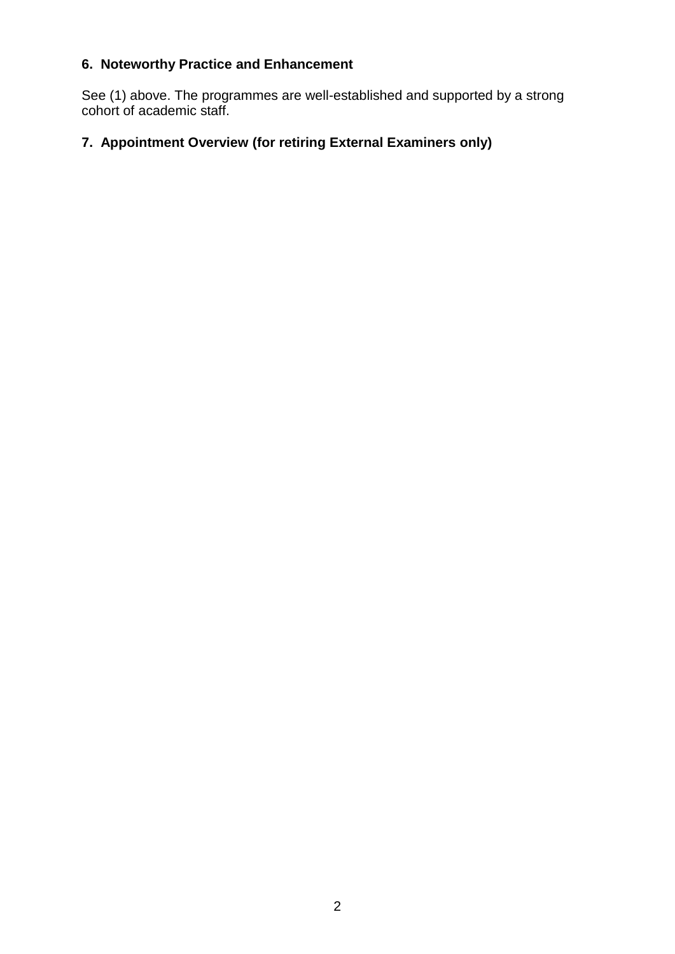# **6. Noteworthy Practice and Enhancement**

See (1) above. The programmes are well-established and supported by a strong cohort of academic staff.

# **7. Appointment Overview (for retiring External Examiners only)**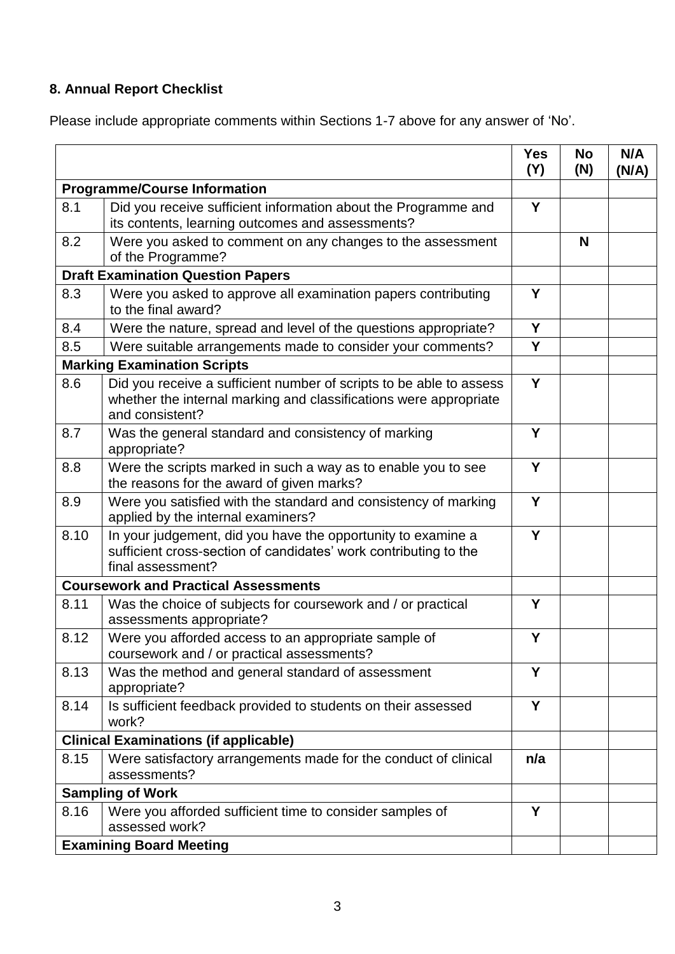# **8. Annual Report Checklist**

Please include appropriate comments within Sections 1-7 above for any answer of 'No'.

|                                             |                                                                                                                                                             | <b>Yes</b><br>(Y) | <b>No</b><br>(N) | N/A<br>(N/A) |
|---------------------------------------------|-------------------------------------------------------------------------------------------------------------------------------------------------------------|-------------------|------------------|--------------|
| <b>Programme/Course Information</b>         |                                                                                                                                                             |                   |                  |              |
| 8.1                                         | Did you receive sufficient information about the Programme and<br>its contents, learning outcomes and assessments?                                          | Y                 |                  |              |
| 8.2                                         | Were you asked to comment on any changes to the assessment<br>of the Programme?                                                                             |                   | N                |              |
| <b>Draft Examination Question Papers</b>    |                                                                                                                                                             |                   |                  |              |
| 8.3                                         | Were you asked to approve all examination papers contributing<br>to the final award?                                                                        | Y                 |                  |              |
| 8.4                                         | Were the nature, spread and level of the questions appropriate?                                                                                             | Y                 |                  |              |
| 8.5                                         | Were suitable arrangements made to consider your comments?                                                                                                  | Y                 |                  |              |
|                                             | <b>Marking Examination Scripts</b>                                                                                                                          |                   |                  |              |
| 8.6                                         | Did you receive a sufficient number of scripts to be able to assess<br>whether the internal marking and classifications were appropriate<br>and consistent? | Y                 |                  |              |
| 8.7                                         | Was the general standard and consistency of marking<br>appropriate?                                                                                         | Y                 |                  |              |
| 8.8                                         | Were the scripts marked in such a way as to enable you to see<br>the reasons for the award of given marks?                                                  | Y                 |                  |              |
| 8.9                                         | Were you satisfied with the standard and consistency of marking<br>applied by the internal examiners?                                                       | Y                 |                  |              |
| 8.10                                        | In your judgement, did you have the opportunity to examine a<br>sufficient cross-section of candidates' work contributing to the<br>final assessment?       | Y                 |                  |              |
| <b>Coursework and Practical Assessments</b> |                                                                                                                                                             |                   |                  |              |
| 8.11                                        | Was the choice of subjects for coursework and / or practical<br>assessments appropriate?                                                                    | Y                 |                  |              |
| 8.12                                        | Were you afforded access to an appropriate sample of<br>coursework and / or practical assessments?                                                          | Y                 |                  |              |
| 8.13                                        | Was the method and general standard of assessment<br>appropriate?                                                                                           | Y                 |                  |              |
| 8.14                                        | Is sufficient feedback provided to students on their assessed<br>work?                                                                                      | Y                 |                  |              |
|                                             | <b>Clinical Examinations (if applicable)</b>                                                                                                                |                   |                  |              |
| 8.15                                        | Were satisfactory arrangements made for the conduct of clinical<br>assessments?                                                                             | n/a               |                  |              |
| <b>Sampling of Work</b>                     |                                                                                                                                                             |                   |                  |              |
| 8.16                                        | Were you afforded sufficient time to consider samples of<br>assessed work?                                                                                  | Y                 |                  |              |
|                                             | <b>Examining Board Meeting</b>                                                                                                                              |                   |                  |              |